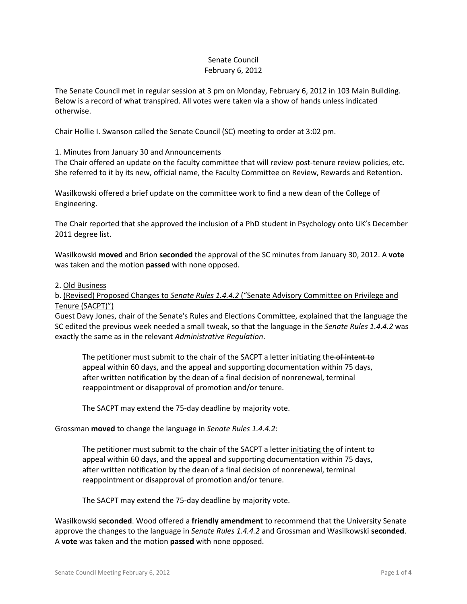## Senate Council February 6, 2012

The Senate Council met in regular session at 3 pm on Monday, February 6, 2012 in 103 Main Building. Below is a record of what transpired. All votes were taken via a show of hands unless indicated otherwise.

Chair Hollie I. Swanson called the Senate Council (SC) meeting to order at 3:02 pm.

#### 1. Minutes from January 30 and Announcements

The Chair offered an update on the faculty committee that will review post-tenure review policies, etc. She referred to it by its new, official name, the Faculty Committee on Review, Rewards and Retention.

Wasilkowski offered a brief update on the committee work to find a new dean of the College of Engineering.

The Chair reported that she approved the inclusion of a PhD student in Psychology onto UK's December 2011 degree list.

Wasilkowski **moved** and Brion **seconded** the approval of the SC minutes from January 30, 2012. A **vote** was taken and the motion **passed** with none opposed.

#### 2. Old Business

## b. (Revised) Proposed Changes to *Senate Rules 1.4.4.2* ("Senate Advisory Committee on Privilege and Tenure (SACPT)")

Guest Davy Jones, chair of the Senate's Rules and Elections Committee, explained that the language the SC edited the previous week needed a small tweak, so that the language in the *Senate Rules 1.4.4.2* was exactly the same as in the relevant *Administrative Regulation*.

The petitioner must submit to the chair of the SACPT a letter initiating the of intent to appeal within 60 days, and the appeal and supporting documentation within 75 days, after written notification by the dean of a final decision of nonrenewal, terminal reappointment or disapproval of promotion and/or tenure.

The SACPT may extend the 75-day deadline by majority vote.

Grossman **moved** to change the language in *Senate Rules 1.4.4.2*:

The petitioner must submit to the chair of the SACPT a letter initiating the of intent to appeal within 60 days, and the appeal and supporting documentation within 75 days, after written notification by the dean of a final decision of nonrenewal, terminal reappointment or disapproval of promotion and/or tenure.

The SACPT may extend the 75-day deadline by majority vote.

Wasilkowski **seconded**. Wood offered a **friendly amendment** to recommend that the University Senate approve the changes to the language in *Senate Rules 1.4.4.2* and Grossman and Wasilkowski **seconded**. A **vote** was taken and the motion **passed** with none opposed.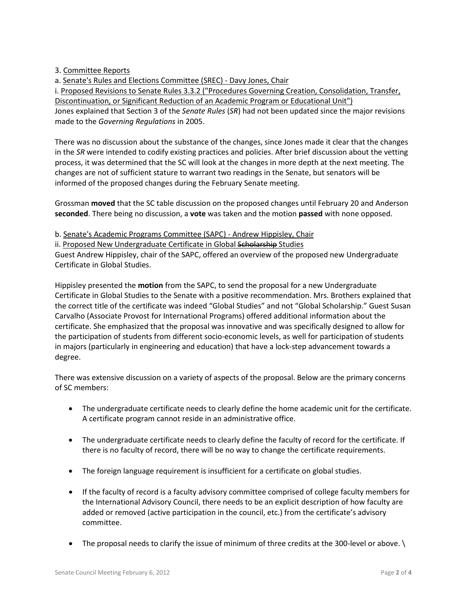3. Committee Reports

a. Senate's Rules and Elections Committee (SREC) - Davy Jones, Chair

i. Proposed Revisions to Senate Rules 3.3.2 ("Procedures Governing Creation, Consolidation, Transfer, Discontinuation, or Significant Reduction of an Academic Program or Educational Unit") Jones explained that Section 3 of the *Senate Rules* (*SR*) had not been updated since the major revisions made to the *Governing Regulations* in 2005.

There was no discussion about the substance of the changes, since Jones made it clear that the changes in the *SR* were intended to codify existing practices and policies. After brief discussion about the vetting process, it was determined that the SC will look at the changes in more depth at the next meeting. The changes are not of sufficient stature to warrant two readings in the Senate, but senators will be informed of the proposed changes during the February Senate meeting.

Grossman **moved** that the SC table discussion on the proposed changes until February 20 and Anderson **seconded**. There being no discussion, a **vote** was taken and the motion **passed** with none opposed.

b. Senate's Academic Programs Committee (SAPC) - Andrew Hippisley, Chair

ii. Proposed New Undergraduate Certificate in Global Scholarship Studies Guest Andrew Hippisley, chair of the SAPC, offered an overview of the proposed new Undergraduate Certificate in Global Studies.

Hippisley presented the **motion** from the SAPC, to send the proposal for a new Undergraduate Certificate in Global Studies to the Senate with a positive recommendation. Mrs. Brothers explained that the correct title of the certificate was indeed "Global Studies" and not "Global Scholarship." Guest Susan Carvalho (Associate Provost for International Programs) offered additional information about the certificate. She emphasized that the proposal was innovative and was specifically designed to allow for the participation of students from different socio-economic levels, as well for participation of students in majors (particularly in engineering and education) that have a lock-step advancement towards a degree.

There was extensive discussion on a variety of aspects of the proposal. Below are the primary concerns of SC members:

- The undergraduate certificate needs to clearly define the home academic unit for the certificate. A certificate program cannot reside in an administrative office.
- The undergraduate certificate needs to clearly define the faculty of record for the certificate. If there is no faculty of record, there will be no way to change the certificate requirements.
- The foreign language requirement is insufficient for a certificate on global studies.
- If the faculty of record is a faculty advisory committee comprised of college faculty members for the International Advisory Council, there needs to be an explicit description of how faculty are added or removed (active participation in the council, etc.) from the certificate's advisory committee.
- The proposal needs to clarify the issue of minimum of three credits at the 300-level or above.  $\setminus$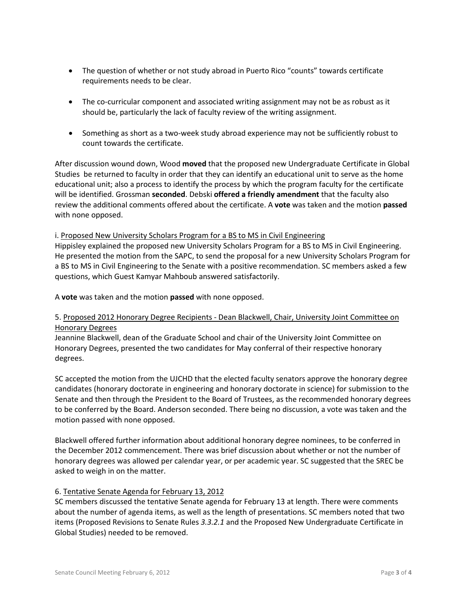- The question of whether or not study abroad in Puerto Rico "counts" towards certificate requirements needs to be clear.
- The co-curricular component and associated writing assignment may not be as robust as it should be, particularly the lack of faculty review of the writing assignment.
- Something as short as a two-week study abroad experience may not be sufficiently robust to count towards the certificate.

After discussion wound down, Wood **moved** that the proposed new Undergraduate Certificate in Global Studies be returned to faculty in order that they can identify an educational unit to serve as the home educational unit; also a process to identify the process by which the program faculty for the certificate will be identified. Grossman **seconded**. Debski **offered a friendly amendment** that the faculty also review the additional comments offered about the certificate. A **vote** was taken and the motion **passed** with none opposed.

i. Proposed New University Scholars Program for a BS to MS in Civil Engineering Hippisley explained the proposed new University Scholars Program for a BS to MS in Civil Engineering. He presented the motion from the SAPC, to send the proposal for a new University Scholars Program for a BS to MS in Civil Engineering to the Senate with a positive recommendation. SC members asked a few questions, which Guest Kamyar Mahboub answered satisfactorily.

A **vote** was taken and the motion **passed** with none opposed.

# 5. Proposed 2012 Honorary Degree Recipients - Dean Blackwell, Chair, University Joint Committee on Honorary Degrees

Jeannine Blackwell, dean of the Graduate School and chair of the University Joint Committee on Honorary Degrees, presented the two candidates for May conferral of their respective honorary degrees.

SC accepted the motion from the UJCHD that the elected faculty senators approve the honorary degree candidates (honorary doctorate in engineering and honorary doctorate in science) for submission to the Senate and then through the President to the Board of Trustees, as the recommended honorary degrees to be conferred by the Board. Anderson seconded. There being no discussion, a vote was taken and the motion passed with none opposed.

Blackwell offered further information about additional honorary degree nominees, to be conferred in the December 2012 commencement. There was brief discussion about whether or not the number of honorary degrees was allowed per calendar year, or per academic year. SC suggested that the SREC be asked to weigh in on the matter.

# 6. Tentative Senate Agenda for February 13, 2012

SC members discussed the tentative Senate agenda for February 13 at length. There were comments about the number of agenda items, as well as the length of presentations. SC members noted that two items (Proposed Revisions to Senate Rules *3.3.2.1* and the Proposed New Undergraduate Certificate in Global Studies) needed to be removed.